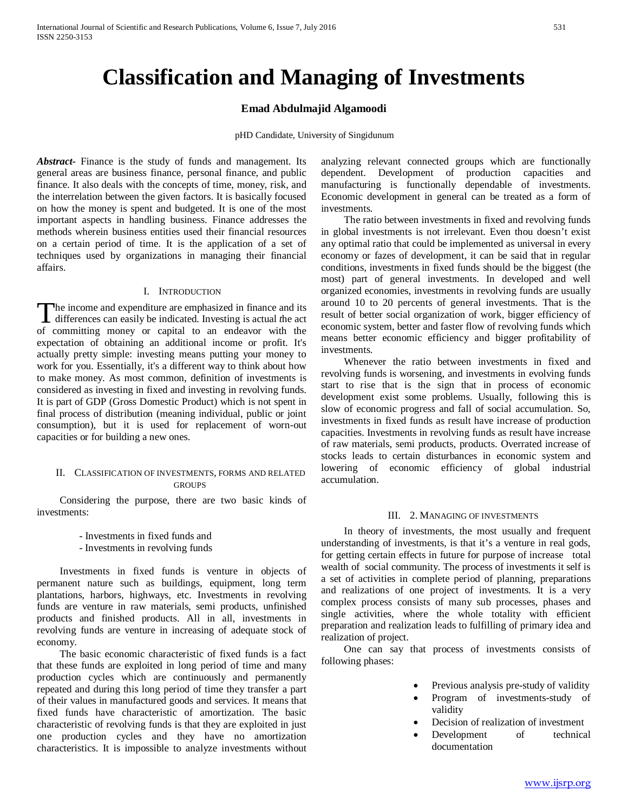# **Classification and Managing of Investments**

# **Emad Abdulmajid Algamoodi**

pHD Candidate, University of Singidunum

*Abstract***-** Finance is the study of funds and management. Its general areas are business finance, personal finance, and public finance. It also deals with the concepts of time, money, risk, and the interrelation between the given factors. It is basically focused on how the money is spent and budgeted. It is one of the most important aspects in handling business. Finance addresses the methods wherein business entities used their financial resources on a certain period of time. It is the application of a set of techniques used by organizations in managing their financial affairs.

#### I. INTRODUCTION

he income and expenditure are emphasized in finance and its The income and expenditure are emphasized in finance and its differences can easily be indicated. Investing is actual *the* act of the distribution of the distribution of the distribution of the distribution of the distrib of committing money or capital to an endeavor with the expectation of obtaining an additional income or profit*.* It's actually pretty simple: investing means putting your money to work for you. Essentially, it's a different way to think about how to make money. As most common, definition of investments is considered as investing in fixed and investing in revolving funds. It is part of GDP (Gross Domestic Product) which is not spent in final process of distribution (meaning individual, public or joint consumption), but it is used for replacement of worn-out capacities or for building a new ones.

## II. CLASSIFICATION OF INVESTMENTS, FORMS AND RELATED **GROUPS**

 Considering the purpose, there are two basic kinds of investments:

- Investments in fixed funds and

- Investments in revolving funds

 Investments in fixed funds is venture in objects of permanent nature such as buildings, equipment, long term plantations, harbors, highways, etc. Investments in revolving funds are venture in raw materials, semi products, unfinished products and finished products. All in all, investments in revolving funds are venture in increasing of adequate stock of economy.

 The basic economic characteristic of fixed funds is a fact that these funds are exploited in long period of time and many production cycles which are continuously and permanently repeated and during this long period of time they transfer a part of their values in manufactured goods and services. It means that fixed funds have characteristic of amortization. The basic characteristic of revolving funds is that they are exploited in just one production cycles and they have no amortization characteristics. It is impossible to analyze investments without analyzing relevant connected groups which are functionally dependent. Development of production capacities and manufacturing is functionally dependable of investments. Economic development in general can be treated as a form of investments.

 The ratio between investments in fixed and revolving funds in global investments is not irrelevant. Even thou doesn't exist any optimal ratio that could be implemented as universal in every economy or fazes of development, it can be said that in regular conditions, investments in fixed funds should be the biggest (the most) part of general investments. In developed and well organized economies, investments in revolving funds are usually around 10 to 20 percents of general investments. That is the result of better social organization of work, bigger efficiency of economic system, better and faster flow of revolving funds which means better economic efficiency and bigger profitability of investments.

 Whenever the ratio between investments in fixed and revolving funds is worsening, and investments in evolving funds start to rise that is the sign that in process of economic development exist some problems. Usually, following this is slow of economic progress and fall of social accumulation. So, investments in fixed funds as result have increase of production capacities. Investments in revolving funds as result have increase of raw materials, semi products, products. Overrated increase of stocks leads to certain disturbances in economic system and lowering of economic efficiency of global industrial accumulation.

#### III. 2. MANAGING OF INVESTMENTS

 In theory of investments, the most usually and frequent understanding of investments, is that it's a venture in real gods, for getting certain effects in future for purpose of increase total wealth of social community. The process of investments it self is a set of activities in complete period of planning, preparations and realizations of one project of investments. It is a very complex process consists of many sub processes, phases and single activities, where the whole totality with efficient preparation and realization leads to fulfilling of primary idea and realization of project.

 One can say that process of investments consists of following phases:

- Previous analysis pre-study of validity
- Program of investments-study of validity
- Decision of realization of investment
- Development of technical documentation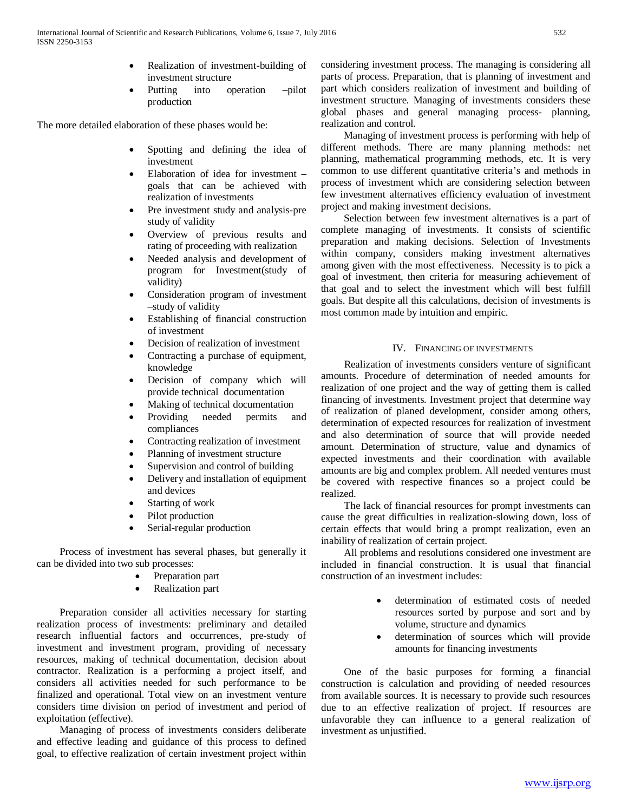- Realization of investment-building of investment structure
- Putting into operation –pilot production

The more detailed elaboration of these phases would be:

- Spotting and defining the idea of investment
- Elaboration of idea for investment goals that can be achieved with realization of investments
- Pre investment study and analysis-pre study of validity
- Overview of previous results and rating of proceeding with realization
- Needed analysis and development of program for Investment(study of validity)
- Consideration program of investment –study of validity
- Establishing of financial construction of investment
- Decision of realization of investment
- Contracting a purchase of equipment, knowledge
- Decision of company which will provide technical documentation
- Making of technical documentation
- Providing needed permits and compliances
- Contracting realization of investment
- Planning of investment structure
- Supervision and control of building
- Delivery and installation of equipment and devices
- Starting of work
- Pilot production
- Serial-regular production

 Process of investment has several phases, but generally it can be divided into two sub processes:

- Preparation part
- Realization part

 Preparation consider all activities necessary for starting realization process of investments: preliminary and detailed research influential factors and occurrences, pre-study of investment and investment program, providing of necessary resources, making of technical documentation, decision about contractor. Realization is a performing a project itself, and considers all activities needed for such performance to be finalized and operational. Total view on an investment venture considers time division on period of investment and period of exploitation (effective).

 Managing of process of investments considers deliberate and effective leading and guidance of this process to defined goal, to effective realization of certain investment project within considering investment process. The managing is considering all parts of process. Preparation, that is planning of investment and part which considers realization of investment and building of investment structure. Managing of investments considers these global phases and general managing process- planning, realization and control.

 Managing of investment process is performing with help of different methods. There are many planning methods: net planning, mathematical programming methods, etc. It is very common to use different quantitative criteria's and methods in process of investment which are considering selection between few investment alternatives efficiency evaluation of investment project and making investment decisions.

 Selection between few investment alternatives is a part of complete managing of investments. It consists of scientific preparation and making decisions. Selection of Investments within company, considers making investment alternatives among given with the most effectiveness. Necessity is to pick a goal of investment, then criteria for measuring achievement of that goal and to select the investment which will best fulfill goals. But despite all this calculations, decision of investments is most common made by intuition and empiric.

# IV. FINANCING OF INVESTMENTS

 Realization of investments considers venture of significant amounts. Procedure of determination of needed amounts for realization of one project and the way of getting them is called financing of investments. Investment project that determine way of realization of planed development, consider among others, determination of expected resources for realization of investment and also determination of source that will provide needed amount. Determination of structure, value and dynamics of expected investments and their coordination with available amounts are big and complex problem. All needed ventures must be covered with respective finances so a project could be realized.

 The lack of financial resources for prompt investments can cause the great difficulties in realization-slowing down, loss of certain effects that would bring a prompt realization, even an inability of realization of certain project.

 All problems and resolutions considered one investment are included in financial construction. It is usual that financial construction of an investment includes:

- determination of estimated costs of needed resources sorted by purpose and sort and by volume, structure and dynamics
- determination of sources which will provide amounts for financing investments

 One of the basic purposes for forming a financial construction is calculation and providing of needed resources from available sources. It is necessary to provide such resources due to an effective realization of project. If resources are unfavorable they can influence to a general realization of investment as unjustified.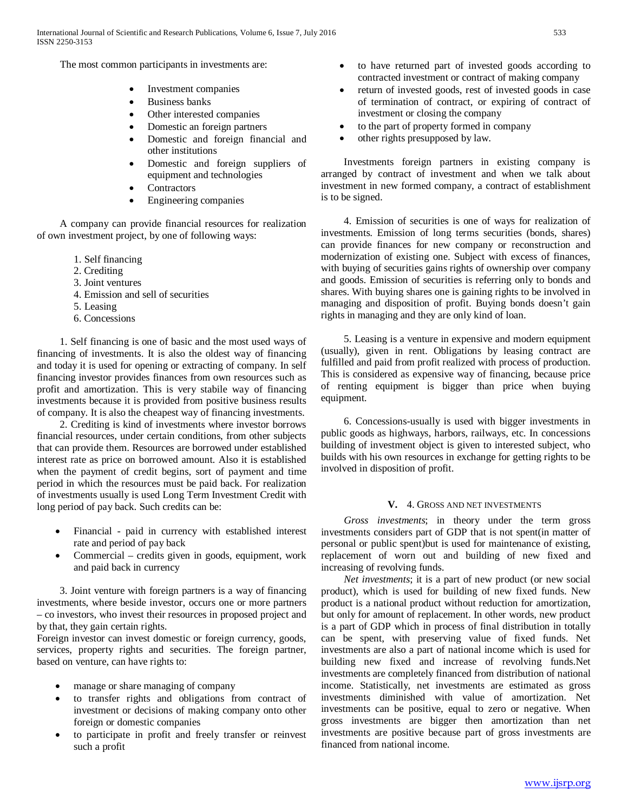The most common participants in investments are:

- Investment companies
- Business banks
- Other interested companies
- Domestic an foreign partners
- Domestic and foreign financial and other institutions
- Domestic and foreign suppliers of equipment and technologies
- Contractors
- Engineering companies

 A company can provide financial resources for realization of own investment project, by one of following ways:

- 1. Self financing
- 2. Crediting
- 3. Joint ventures
- 4. Emission and sell of securities
- 5. Leasing
- 6. Concessions

 1. Self financing is one of basic and the most used ways of financing of investments. It is also the oldest way of financing and today it is used for opening or extracting of company. In self financing investor provides finances from own resources such as profit and amortization. This is very stabile way of financing investments because it is provided from positive business results of company. It is also the cheapest way of financing investments.

 2. Crediting is kind of investments where investor borrows financial resources, under certain conditions, from other subjects that can provide them. Resources are borrowed under established interest rate as price on borrowed amount. Also it is established when the payment of credit begins, sort of payment and time period in which the resources must be paid back. For realization of investments usually is used Long Term Investment Credit with long period of pay back. Such credits can be:

- Financial paid in currency with established interest rate and period of pay back
- Commercial credits given in goods, equipment, work and paid back in currency

 3. Joint venture with foreign partners is a way of financing investments, where beside investor, occurs one or more partners – co investors, who invest their resources in proposed project and by that, they gain certain rights.

Foreign investor can invest domestic or foreign currency, goods, services, property rights and securities. The foreign partner, based on venture, can have rights to:

- manage or share managing of company
- to transfer rights and obligations from contract of investment or decisions of making company onto other foreign or domestic companies
- to participate in profit and freely transfer or reinvest such a profit
- to have returned part of invested goods according to contracted investment or contract of making company
- return of invested goods, rest of invested goods in case of termination of contract, or expiring of contract of investment or closing the company
- to the part of property formed in company
- other rights presupposed by law.

 Investments foreign partners in existing company is arranged by contract of investment and when we talk about investment in new formed company, a contract of establishment is to be signed.

 4. Emission of securities is one of ways for realization of investments. Emission of long terms securities (bonds, shares) can provide finances for new company or reconstruction and modernization of existing one. Subject with excess of finances, with buying of securities gains rights of ownership over company and goods. Emission of securities is referring only to bonds and shares. With buying shares one is gaining rights to be involved in managing and disposition of profit. Buying bonds doesn't gain rights in managing and they are only kind of loan.

 5. Leasing is a venture in expensive and modern equipment (usually), given in rent. Obligations by leasing contract are fulfilled and paid from profit realized with process of production. This is considered as expensive way of financing, because price of renting equipment is bigger than price when buying equipment.

 6. Concessions-usually is used with bigger investments in public goods as highways, harbors, railways, etc. In concessions building of investment object is given to interested subject, who builds with his own resources in exchange for getting rights to be involved in disposition of profit.

## **V.** 4. GROSS AND NET INVESTMENTS

 *Gross investments*; in theory under the term gross investments considers part of GDP that is not spent(in matter of personal or public spent)but is used for maintenance of existing, replacement of worn out and building of new fixed and increasing of revolving funds.

 *Net investments*; it is a part of new product (or new social product), which is used for building of new fixed funds. New product is a national product without reduction for amortization, but only for amount of replacement. In other words, new product is a part of GDP which in process of final distribution in totally can be spent, with preserving value of fixed funds. Net investments are also a part of national income which is used for building new fixed and increase of revolving funds.Net investments are completely financed from distribution of national income. Statistically, net investments are estimated as gross investments diminished with value of amortization. Net investments can be positive, equal to zero or negative. When gross investments are bigger then amortization than net investments are positive because part of gross investments are financed from national income.